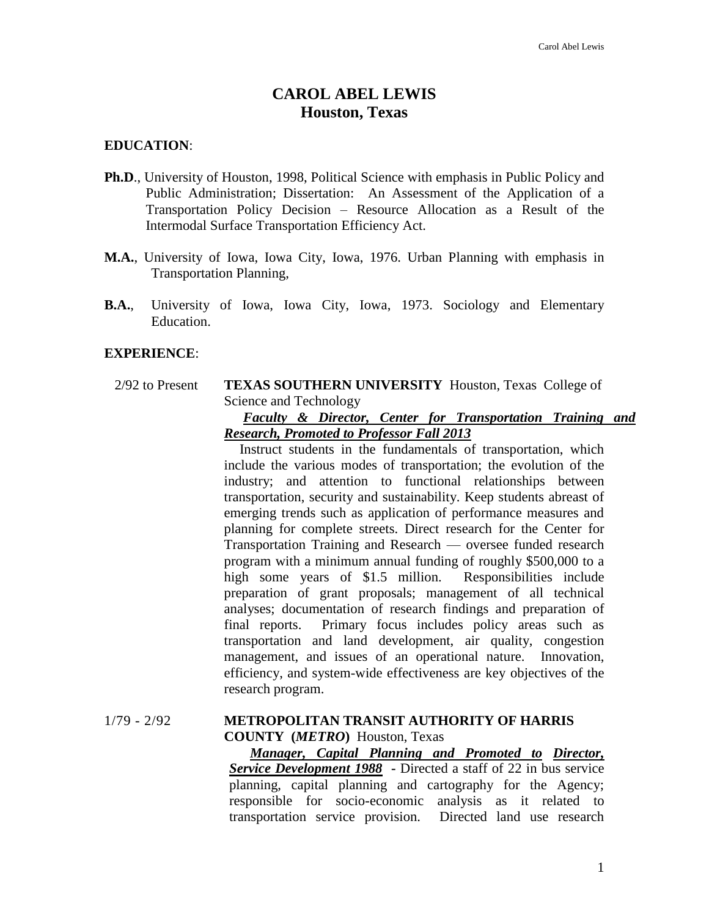# **CAROL ABEL LEWIS Houston, Texas**

#### **EDUCATION**:

- **Ph.D**., University of Houston, 1998, Political Science with emphasis in Public Policy and Public Administration; Dissertation: An Assessment of the Application of a Transportation Policy Decision – Resource Allocation as a Result of the Intermodal Surface Transportation Efficiency Act.
- **M.A.**, University of Iowa, Iowa City, Iowa, 1976. Urban Planning with emphasis in Transportation Planning,
- **B.A.**, University of Iowa, Iowa City, Iowa, 1973. Sociology and Elementary Education.

## **EXPERIENCE**:

2/92 to Present **TEXAS SOUTHERN UNIVERSITY** Houston, Texas College of Science and Technology

## *Faculty & Director, Center for Transportation Training and Research, Promoted to Professor Fall 2013*

Instruct students in the fundamentals of transportation, which include the various modes of transportation; the evolution of the industry; and attention to functional relationships between transportation, security and sustainability. Keep students abreast of emerging trends such as application of performance measures and planning for complete streets. Direct research for the Center for Transportation Training and Research — oversee funded research program with a minimum annual funding of roughly \$500,000 to a high some years of \$1.5 million. Responsibilities include preparation of grant proposals; management of all technical analyses; documentation of research findings and preparation of final reports. Primary focus includes policy areas such as transportation and land development, air quality, congestion management, and issues of an operational nature. Innovation, efficiency, and system-wide effectiveness are key objectives of the research program.

# 1/79 - 2/92 **METROPOLITAN TRANSIT AUTHORITY OF HARRIS COUNTY (***METRO***)** Houston, Texas

*Manager, Capital Planning and Promoted to Director, Service Development 1988* **-** Directed a staff of 22 in bus service planning, capital planning and cartography for the Agency; responsible for socio-economic analysis as it related to transportation service provision. Directed land use research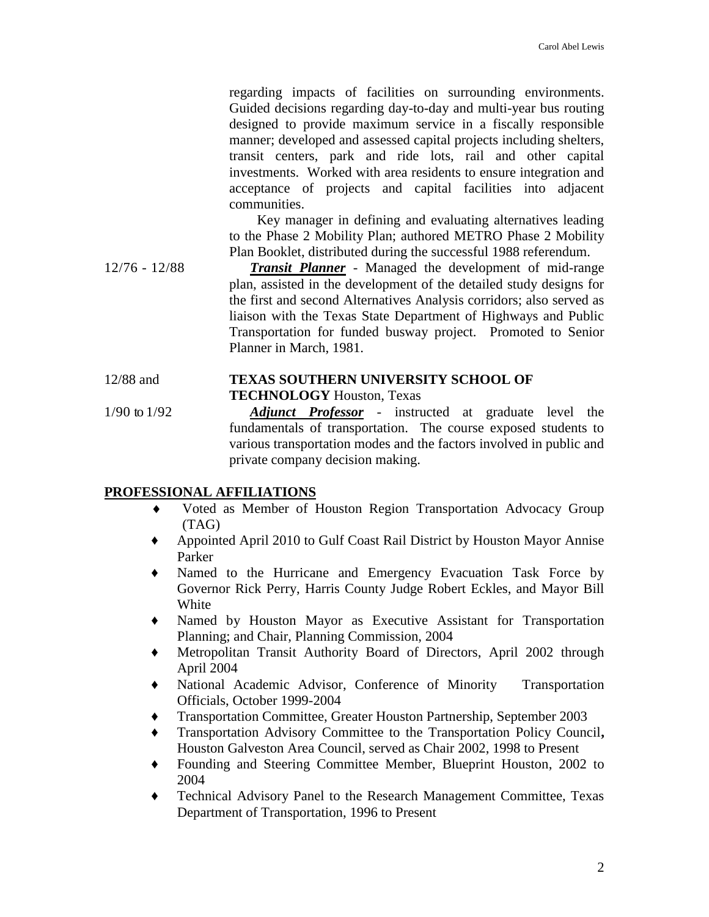regarding impacts of facilities on surrounding environments. Guided decisions regarding day-to-day and multi-year bus routing designed to provide maximum service in a fiscally responsible manner; developed and assessed capital projects including shelters, transit centers, park and ride lots, rail and other capital investments. Worked with area residents to ensure integration and acceptance of projects and capital facilities into adjacent communities.

 Key manager in defining and evaluating alternatives leading to the Phase 2 Mobility Plan; authored METRO Phase 2 Mobility Plan Booklet, distributed during the successful 1988 referendum.

12/76 - 12/88 *Transit Planner* - Managed the development of mid-range plan, assisted in the development of the detailed study designs for the first and second Alternatives Analysis corridors; also served as liaison with the Texas State Department of Highways and Public Transportation for funded busway project. Promoted to Senior Planner in March, 1981.

# 12/88 and **TEXAS SOUTHERN UNIVERSITY SCHOOL OF**

**TECHNOLOGY** Houston, Texas

1/90 to 1/92 *Adjunct Professor* - instructed at graduate level the fundamentals of transportation. The course exposed students to various transportation modes and the factors involved in public and private company decision making.

# **PROFESSIONAL AFFILIATIONS**

- Voted as Member of Houston Region Transportation Advocacy Group (TAG)
- **♦** Appointed April 2010 to Gulf Coast Rail District by Houston Mayor Annise Parker
- Named to the Hurricane and Emergency Evacuation Task Force by Governor Rick Perry, Harris County Judge Robert Eckles, and Mayor Bill White
- **♦** Named by Houston Mayor as Executive Assistant for Transportation Planning; and Chair, Planning Commission, 2004
- **♦** Metropolitan Transit Authority Board of Directors, April 2002 through April 2004
- **♦** National Academic Advisor, Conference of Minority Transportation Officials, October 1999-2004
- **♦** Transportation Committee, Greater Houston Partnership, September 2003
- **♦** Transportation Advisory Committee to the Transportation Policy Council**,**  Houston Galveston Area Council, served as Chair 2002, 1998 to Present
- **♦** Founding and Steering Committee Member, Blueprint Houston, 2002 to 2004
- **♦** Technical Advisory Panel to the Research Management Committee, Texas Department of Transportation, 1996 to Present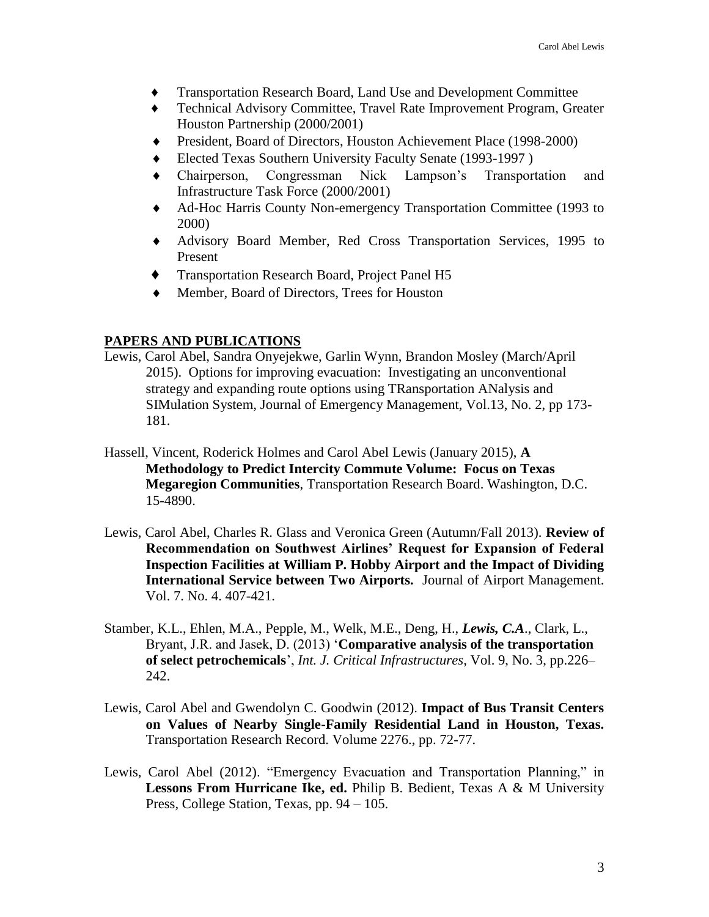- **♦** Transportation Research Board, Land Use and Development Committee
- **♦** Technical Advisory Committee, Travel Rate Improvement Program, Greater Houston Partnership (2000/2001)
- President, Board of Directors, Houston Achievement Place (1998-2000)
- Elected Texas Southern University Faculty Senate (1993-1997 )
- Chairperson, Congressman Nick Lampson's Transportation and Infrastructure Task Force (2000/2001)
- Ad-Hoc Harris County Non-emergency Transportation Committee (1993 to 2000)
- Advisory Board Member, Red Cross Transportation Services, 1995 to Present
- Transportation Research Board, Project Panel H5
- Member, Board of Directors, Trees for Houston

#### **PAPERS AND PUBLICATIONS**

- Lewis, Carol Abel, Sandra Onyejekwe, Garlin Wynn, Brandon Mosley (March/April 2015). Options for improving evacuation: Investigating an unconventional strategy and expanding route options using TRansportation ANalysis and SIMulation System, Journal of Emergency Management, Vol.13, No. 2, pp 173- 181.
- Hassell, Vincent, Roderick Holmes and Carol Abel Lewis (January 2015), **A Methodology to Predict Intercity Commute Volume: Focus on Texas Megaregion Communities**, Transportation Research Board. Washington, D.C. 15-4890.
- Lewis, Carol Abel, Charles R. Glass and Veronica Green (Autumn/Fall 2013). **Review of Recommendation on Southwest Airlines' Request for Expansion of Federal Inspection Facilities at William P. Hobby Airport and the Impact of Dividing International Service between Two Airports.** Journal of Airport Management. Vol. 7. No. 4. 407-421.
- Stamber, K.L., Ehlen, M.A., Pepple, M., Welk, M.E., Deng, H., *Lewis, C.A*., Clark, L., Bryant, J.R. and Jasek, D. (2013) '**Comparative analysis of the transportation of select petrochemicals**', *Int. J. Critical Infrastructures*, Vol. 9, No. 3, pp.226– 242.
- Lewis, Carol Abel and Gwendolyn C. Goodwin (2012). **Impact of Bus Transit Centers on Values of Nearby Single-Family Residential Land in Houston, Texas.**  Transportation Research Record. Volume 2276., pp. 72-77.
- Lewis, Carol Abel (2012). "Emergency Evacuation and Transportation Planning," in Lessons From Hurricane Ike, ed. Philip B. Bedient, Texas A & M University Press, College Station, Texas, pp. 94 – 105.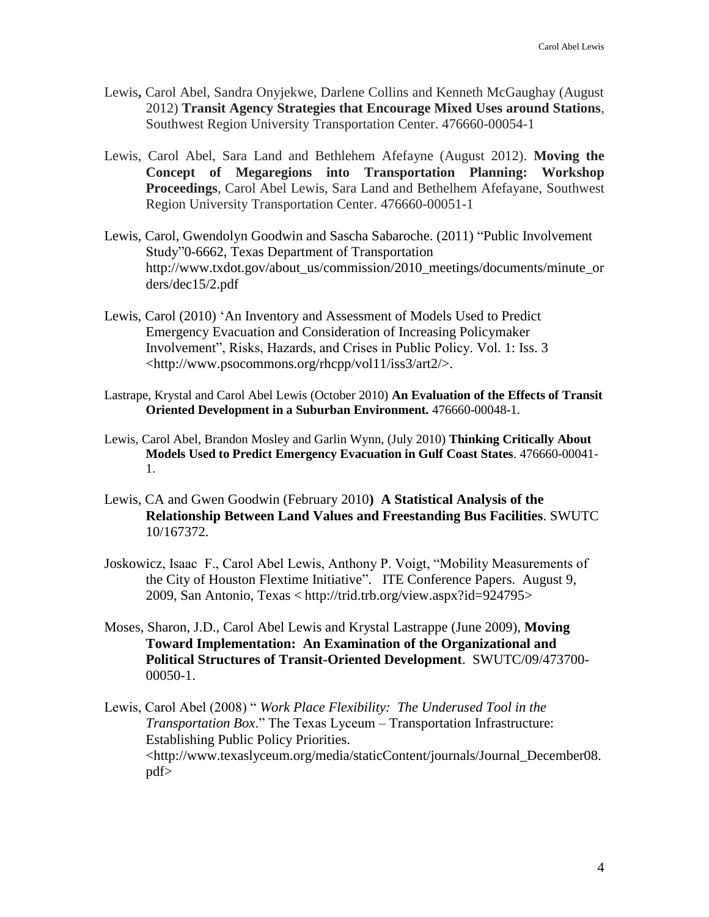- Lewis**,** Carol Abel, Sandra Onyjekwe, Darlene Collins and Kenneth McGaughay (August 2012) **Transit Agency Strategies that Encourage Mixed Uses around Stations**, Southwest Region University Transportation Center. 476660-00054-1
- Lewis, Carol Abel, Sara Land and Bethlehem Afefayne (August 2012). **Moving the Concept of Megaregions into Transportation Planning: Workshop Proceedings**, Carol Abel Lewis, Sara Land and Bethelhem Afefayane, Southwest Region University Transportation Center. 476660-00051-1
- Lewis, Carol, Gwendolyn Goodwin and Sascha Sabaroche. (2011) "Public Involvement Study"0-6662, Texas Department of Transportation [http://www.txdot.gov/about\\_us/commission/2010\\_meetings/documents/minute\\_or](http://www.txdot.gov/about_us/commission/2010_meetings/documents/minute_orders/dec15/2.pdf) [ders/dec15/2.pdf](http://www.txdot.gov/about_us/commission/2010_meetings/documents/minute_orders/dec15/2.pdf)
- Lewis, Carol (2010) 'An Inventory and Assessment of Models Used to Predict Emergency Evacuation and Consideration of Increasing Policymaker Involvement", Risks, Hazards, and Crises in Public Policy. Vol. 1: Iss. 3 <http://www.psocommons.org/rhcpp/vol11/iss3/art2/>.
- Lastrape, Krystal and Carol Abel Lewis (October 2010) **An Evaluation of the Effects of Transit Oriented Development in a Suburban Environment.** 476660-00048-1.
- Lewis, Carol Abel, Brandon Mosley and Garlin Wynn, (July 2010) **Thinking Critically About Models Used to Predict Emergency Evacuation in Gulf Coast States**. 476660-00041- 1.
- Lewis, CA and Gwen Goodwin (February 2010**) A Statistical Analysis of the Relationship Between Land Values and Freestanding Bus Facilities**. SWUTC 10/167372.
- Joskowicz, Isaac F., Carol Abel Lewis, Anthony P. Voigt, "Mobility Measurements of the City of Houston Flextime Initiative". ITE Conference Papers. August 9, 2009, San Antonio, Texas < http://trid.trb.org/view.aspx?id=924795>
- Moses, Sharon, J.D., Carol Abel Lewis and Krystal Lastrappe (June 2009), **Moving Toward Implementation: An Examination of the Organizational and Political Structures of Transit-Oriented Development**. SWUTC/09/473700- 00050-1.
- Lewis, Carol Abel (2008) " *Work Place Flexibility: The Underused Tool in the Transportation Box*." The Texas Lyceum – Transportation Infrastructure: Establishing Public Policy Priorities. <http://www.texaslyceum.org/media/staticContent/journals/Journal\_December08. pdf>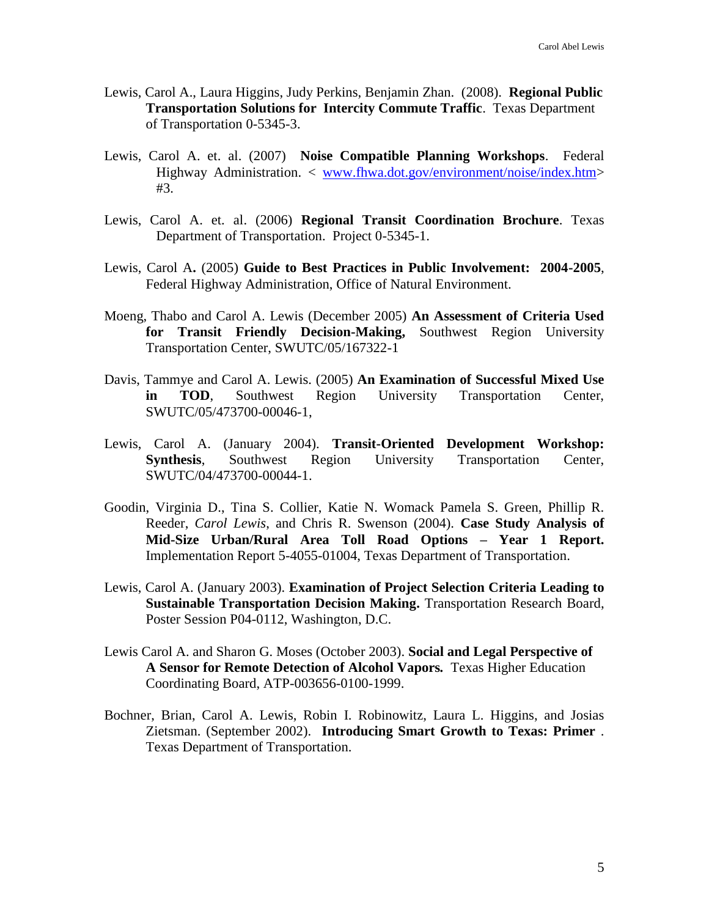- Lewis, Carol A., Laura Higgins, Judy Perkins, Benjamin Zhan. (2008). **Regional Public Transportation Solutions for Intercity Commute Traffic**. Texas Department of Transportation 0-5345-3.
- Lewis, Carol A. et. al. (2007) **Noise Compatible Planning Workshops**. Federal Highway Administration. < [www.fhwa.dot.gov/environment/noise/index.htm>](http://www.fhwa.dot.gov/environment/noise/index.htm) #3.
- Lewis, Carol A. et. al. (2006) **Regional Transit Coordination Brochure**. Texas Department of Transportation. Project 0-5345-1.
- Lewis, Carol A**.** (2005) **Guide to Best Practices in Public Involvement: 2004-2005**, Federal Highway Administration, Office of Natural Environment.
- Moeng, Thabo and Carol A. Lewis (December 2005) **An Assessment of Criteria Used for Transit Friendly Decision-Making,** Southwest Region University Transportation Center, SWUTC/05/167322-1
- Davis, Tammye and Carol A. Lewis. (2005) **An Examination of Successful Mixed Use in TOD**, Southwest Region University Transportation Center, SWUTC/05/473700-00046-1,
- Lewis, Carol A. (January 2004). **Transit-Oriented Development Workshop: Synthesis**, Southwest Region University Transportation Center, SWUTC/04/473700-00044-1.
- Goodin, Virginia D., Tina S. Collier, Katie N. Womack Pamela S. Green, Phillip R. Reeder, *Carol Lewis*, and Chris R. Swenson (2004). **Case Study Analysis of Mid-Size Urban/Rural Area Toll Road Options – Year 1 Report.** Implementation Report 5-4055-01004, Texas Department of Transportation.
- Lewis, Carol A. (January 2003). **Examination of Project Selection Criteria Leading to Sustainable Transportation Decision Making.** Transportation Research Board, Poster Session P04-0112, Washington, D.C.
- Lewis Carol A. and Sharon G. Moses (October 2003). **Social and Legal Perspective of A Sensor for Remote Detection of Alcohol Vapors***.*Texas Higher Education Coordinating Board, ATP-003656-0100-1999.
- Bochner, Brian, Carol A. Lewis, Robin I. Robinowitz, Laura L. Higgins, and Josias Zietsman. (September 2002). **Introducing Smart Growth to Texas: Primer** . Texas Department of Transportation.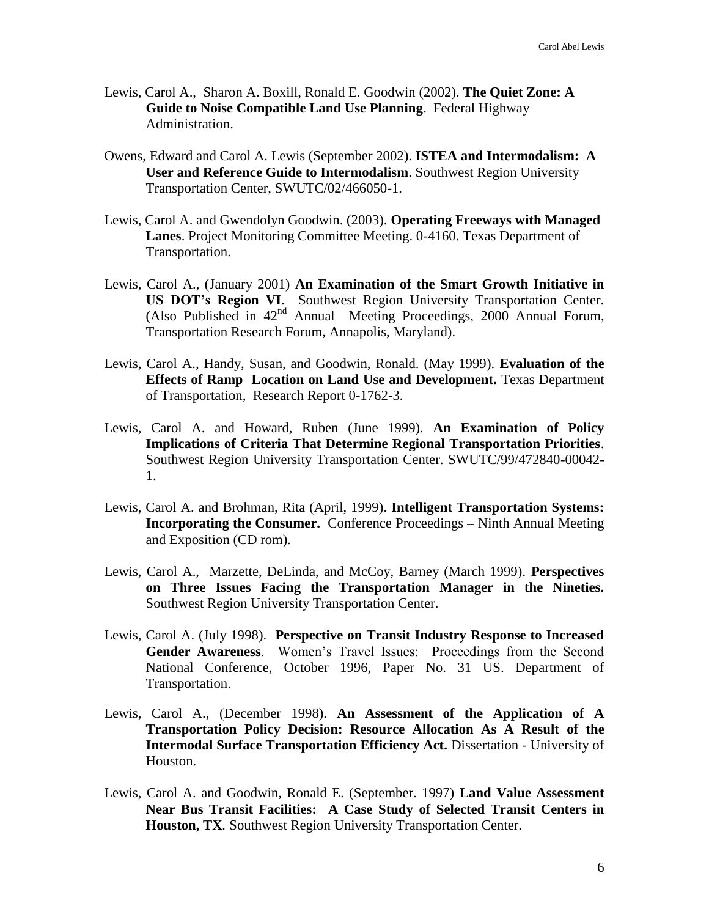- Lewis, Carol A., Sharon A. Boxill, Ronald E. Goodwin (2002). **The Quiet Zone: A Guide to Noise Compatible Land Use Planning**. Federal Highway Administration.
- Owens, Edward and Carol A. Lewis (September 2002). **ISTEA and Intermodalism: A User and Reference Guide to Intermodalism**. Southwest Region University Transportation Center, SWUTC/02/466050-1.
- Lewis, Carol A. and Gwendolyn Goodwin. (2003). **Operating Freeways with Managed Lanes**. Project Monitoring Committee Meeting. 0-4160. Texas Department of Transportation.
- Lewis, Carol A., (January 2001) **An Examination of the Smart Growth Initiative in US DOT's Region VI**. Southwest Region University Transportation Center. (Also Published in  $42<sup>nd</sup>$  Annual Meeting Proceedings, 2000 Annual Forum, Transportation Research Forum, Annapolis, Maryland).
- Lewis, Carol A., Handy, Susan, and Goodwin, Ronald. (May 1999). **Evaluation of the Effects of Ramp Location on Land Use and Development.** Texas Department of Transportation, Research Report 0-1762-3.
- Lewis, Carol A. and Howard, Ruben (June 1999). **An Examination of Policy Implications of Criteria That Determine Regional Transportation Priorities**. Southwest Region University Transportation Center. SWUTC/99/472840-00042- 1.
- Lewis, Carol A. and Brohman, Rita (April, 1999). **Intelligent Transportation Systems: Incorporating the Consumer.** Conference Proceedings – Ninth Annual Meeting and Exposition (CD rom).
- Lewis, Carol A., Marzette, DeLinda, and McCoy, Barney (March 1999). **Perspectives on Three Issues Facing the Transportation Manager in the Nineties.** Southwest Region University Transportation Center.
- Lewis, Carol A. (July 1998). **Perspective on Transit Industry Response to Increased Gender Awareness**. Women's Travel Issues: Proceedings from the Second National Conference, October 1996, Paper No. 31 US. Department of Transportation.
- Lewis, Carol A., (December 1998). **An Assessment of the Application of A Transportation Policy Decision: Resource Allocation As A Result of the Intermodal Surface Transportation Efficiency Act.** Dissertation *-* University of Houston.
- Lewis, Carol A. and Goodwin, Ronald E. (September. 1997) **Land Value Assessment Near Bus Transit Facilities: A Case Study of Selected Transit Centers in Houston, TX***.* Southwest Region University Transportation Center.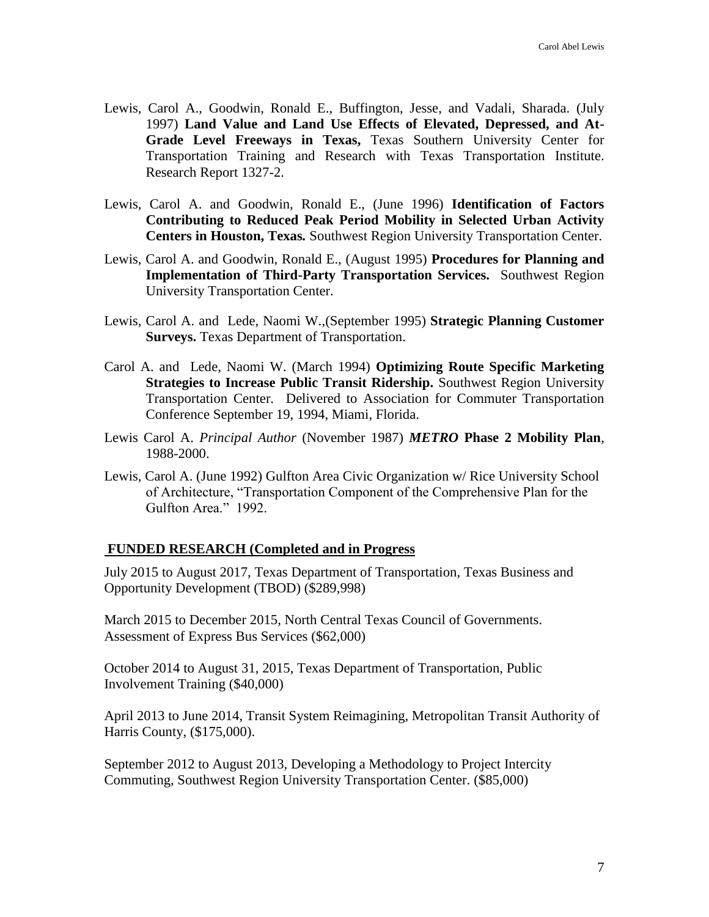- Lewis, Carol A., Goodwin, Ronald E., Buffington, Jesse, and Vadali, Sharada. (July 1997) **Land Value and Land Use Effects of Elevated, Depressed, and At-Grade Level Freeways in Texas,** Texas Southern University Center for Transportation Training and Research with Texas Transportation Institute. Research Report 1327-2.
- Lewis, Carol A. and Goodwin, Ronald E., (June 1996) **Identification of Factors Contributing to Reduced Peak Period Mobility in Selected Urban Activity Centers in Houston, Texas***.* Southwest Region University Transportation Center.
- Lewis, Carol A. and Goodwin, Ronald E., (August 1995) **Procedures for Planning and Implementation of Third-Party Transportation Services.** Southwest Region University Transportation Center.
- Lewis, Carol A. and Lede, Naomi W*.,*(September 1995) **Strategic Planning Customer Surveys.** Texas Department of Transportation.
- Carol A. and Lede, Naomi W. (March 1994) **Optimizing Route Specific Marketing Strategies to Increase Public Transit Ridership.** Southwest Region University Transportation Center. Delivered to Association for Commuter Transportation Conference September 19, 1994, Miami, Florida.
- Lewis Carol A. *Principal Author* (November 1987) *METRO* **Phase 2 Mobility Plan**, 1988-2000.
- Lewis, Carol A. (June 1992) Gulfton Area Civic Organization w/ Rice University School of Architecture, "Transportation Component of the Comprehensive Plan for the Gulfton Area." 1992.

## **FUNDED RESEARCH (Completed and in Progress**

July 2015 to August 2017, Texas Department of Transportation, Texas Business and Opportunity Development (TBOD) (\$289,998)

March 2015 to December 2015, North Central Texas Council of Governments. Assessment of Express Bus Services (\$62,000)

October 2014 to August 31, 2015, Texas Department of Transportation, Public Involvement Training (\$40,000)

April 2013 to June 2014, Transit System Reimagining, Metropolitan Transit Authority of Harris County, (\$175,000).

September 2012 to August 2013, Developing a Methodology to Project Intercity Commuting, Southwest Region University Transportation Center. (\$85,000)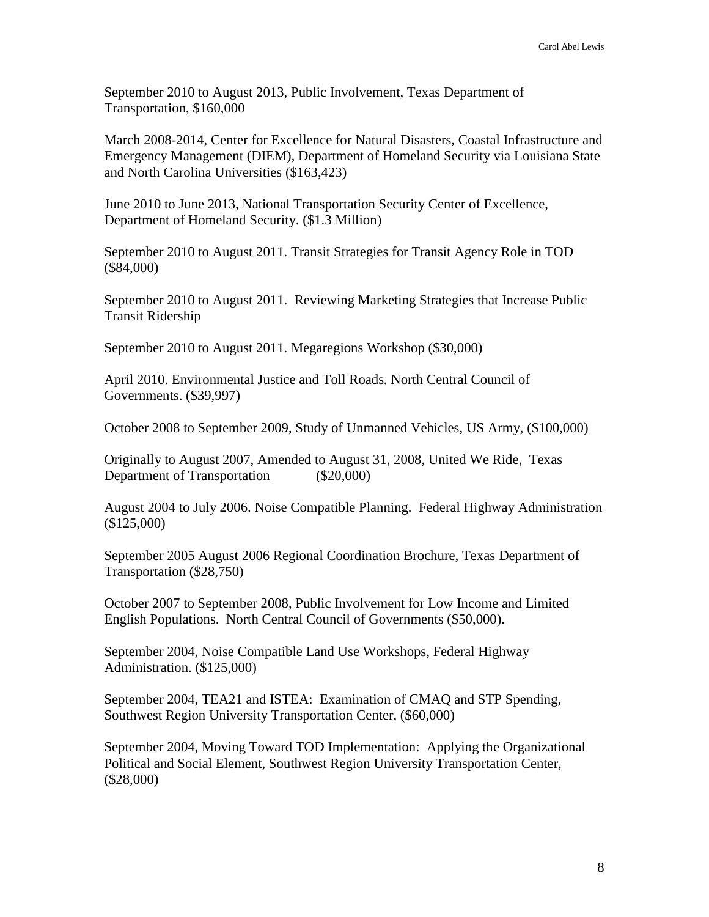September 2010 to August 2013, Public Involvement, Texas Department of Transportation, \$160,000

March 2008-2014, Center for Excellence for Natural Disasters, Coastal Infrastructure and Emergency Management (DIEM), Department of Homeland Security via Louisiana State and North Carolina Universities (\$163,423)

June 2010 to June 2013, National Transportation Security Center of Excellence, Department of Homeland Security. (\$1.3 Million)

September 2010 to August 2011. Transit Strategies for Transit Agency Role in TOD (\$84,000)

September 2010 to August 2011. Reviewing Marketing Strategies that Increase Public Transit Ridership

September 2010 to August 2011. Megaregions Workshop (\$30,000)

April 2010. Environmental Justice and Toll Roads. North Central Council of Governments. (\$39,997)

October 2008 to September 2009, Study of Unmanned Vehicles, US Army, (\$100,000)

Originally to August 2007, Amended to August 31, 2008, United We Ride, Texas Department of Transportation (\$20,000)

August 2004 to July 2006. Noise Compatible Planning. Federal Highway Administration (\$125,000)

September 2005 August 2006 Regional Coordination Brochure, Texas Department of Transportation (\$28,750)

October 2007 to September 2008, Public Involvement for Low Income and Limited English Populations. North Central Council of Governments (\$50,000).

September 2004, Noise Compatible Land Use Workshops, Federal Highway Administration. (\$125,000)

September 2004, TEA21 and ISTEA: Examination of CMAQ and STP Spending, Southwest Region University Transportation Center, (\$60,000)

September 2004, Moving Toward TOD Implementation: Applying the Organizational Political and Social Element, Southwest Region University Transportation Center, (\$28,000)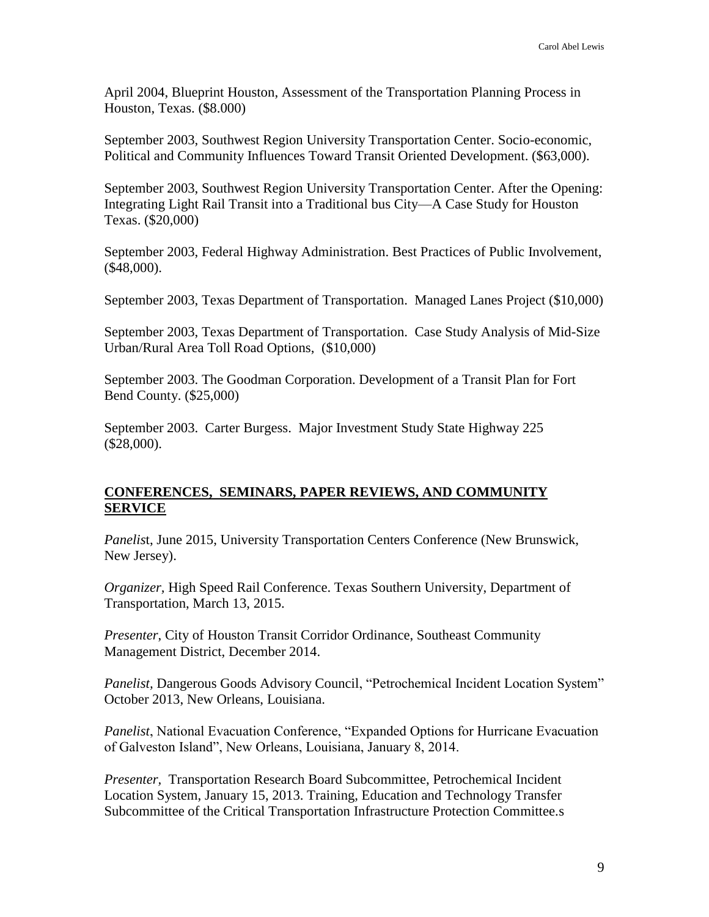April 2004, Blueprint Houston, Assessment of the Transportation Planning Process in Houston, Texas. (\$8.000)

September 2003, Southwest Region University Transportation Center. Socio-economic, Political and Community Influences Toward Transit Oriented Development. (\$63,000).

September 2003, Southwest Region University Transportation Center. After the Opening: Integrating Light Rail Transit into a Traditional bus City—A Case Study for Houston Texas. (\$20,000)

September 2003, Federal Highway Administration. Best Practices of Public Involvement, (\$48,000).

September 2003, Texas Department of Transportation. Managed Lanes Project (\$10,000)

September 2003, Texas Department of Transportation. Case Study Analysis of Mid-Size Urban/Rural Area Toll Road Options, (\$10,000)

September 2003. The Goodman Corporation. Development of a Transit Plan for Fort Bend County. (\$25,000)

September 2003. Carter Burgess. Major Investment Study State Highway 225 (\$28,000).

## **CONFERENCES, SEMINARS, PAPER REVIEWS, AND COMMUNITY SERVICE**

*Panelis*t, June 2015, University Transportation Centers Conference (New Brunswick, New Jersey).

*Organizer,* High Speed Rail Conference. Texas Southern University, Department of Transportation, March 13, 2015.

*Presenter*, City of Houston Transit Corridor Ordinance, Southeast Community Management District, December 2014.

*Panelist*, Dangerous Goods Advisory Council, "Petrochemical Incident Location System" October 2013, New Orleans, Louisiana.

*Panelist*, National Evacuation Conference, "Expanded Options for Hurricane Evacuation of Galveston Island", New Orleans, Louisiana, January 8, 2014.

*Presenter,* Transportation Research Board Subcommittee, Petrochemical Incident Location System, January 15, 2013. Training, Education and Technology Transfer Subcommittee of the Critical Transportation Infrastructure Protection Committee.s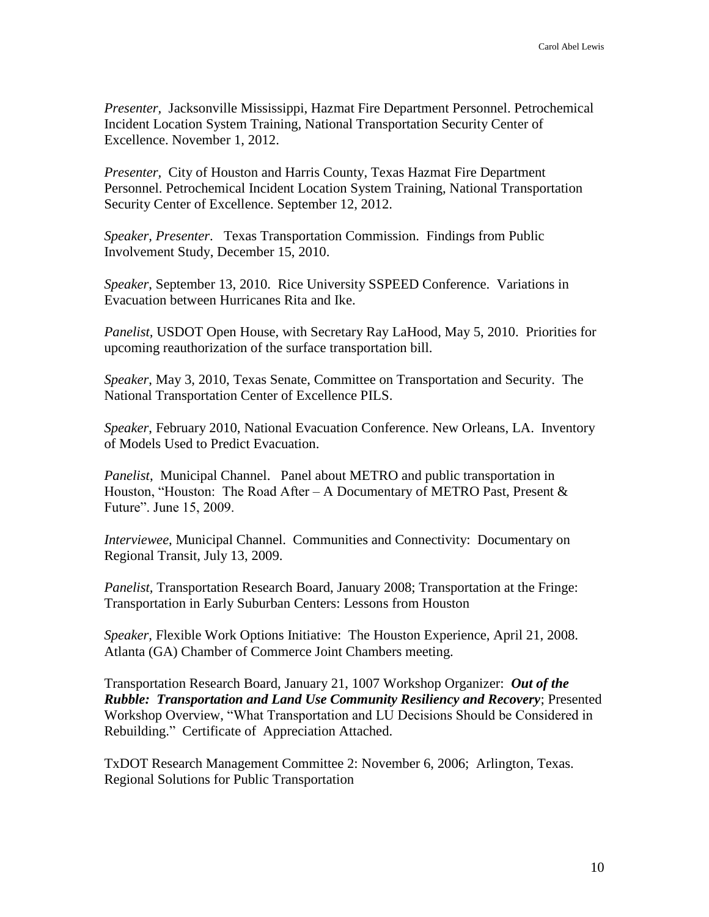*Presenter,* Jacksonville Mississippi, Hazmat Fire Department Personnel. Petrochemical Incident Location System Training, National Transportation Security Center of Excellence. November 1, 2012.

*Presenter,* City of Houston and Harris County, Texas Hazmat Fire Department Personnel. Petrochemical Incident Location System Training, National Transportation Security Center of Excellence. September 12, 2012.

*Speaker, Presenter*. Texas Transportation Commission. Findings from Public Involvement Study, December 15, 2010.

*Speaker*, September 13, 2010. Rice University SSPEED Conference. Variations in Evacuation between Hurricanes Rita and Ike.

*Panelist,* USDOT Open House, with Secretary Ray LaHood, May 5, 2010. Priorities for upcoming reauthorization of the surface transportation bill.

*Speaker*, May 3, 2010, Texas Senate, Committee on Transportation and Security. The National Transportation Center of Excellence PILS.

*Speaker*, February 2010, National Evacuation Conference. New Orleans, LA. Inventory of Models Used to Predict Evacuation.

*Panelist*, Municipal Channel. Panel about METRO and public transportation in Houston, "Houston: The Road After – A Documentary of METRO Past, Present  $\&$ Future". June 15, 2009.

*Interviewee*, Municipal Channel. Communities and Connectivity: Documentary on Regional Transit, July 13, 2009.

*Panelist,* Transportation Research Board, January 2008; Transportation at the Fringe: Transportation in Early Suburban Centers: Lessons from Houston

*Speaker,* Flexible Work Options Initiative: The Houston Experience, April 21, 2008. Atlanta (GA) Chamber of Commerce Joint Chambers meeting.

Transportation Research Board, January 21, 1007 Workshop Organizer: *Out of the Rubble: Transportation and Land Use Community Resiliency and Recovery*; Presented Workshop Overview, "What Transportation and LU Decisions Should be Considered in Rebuilding." Certificate of Appreciation Attached.

TxDOT Research Management Committee 2: November 6, 2006; Arlington, Texas. Regional Solutions for Public Transportation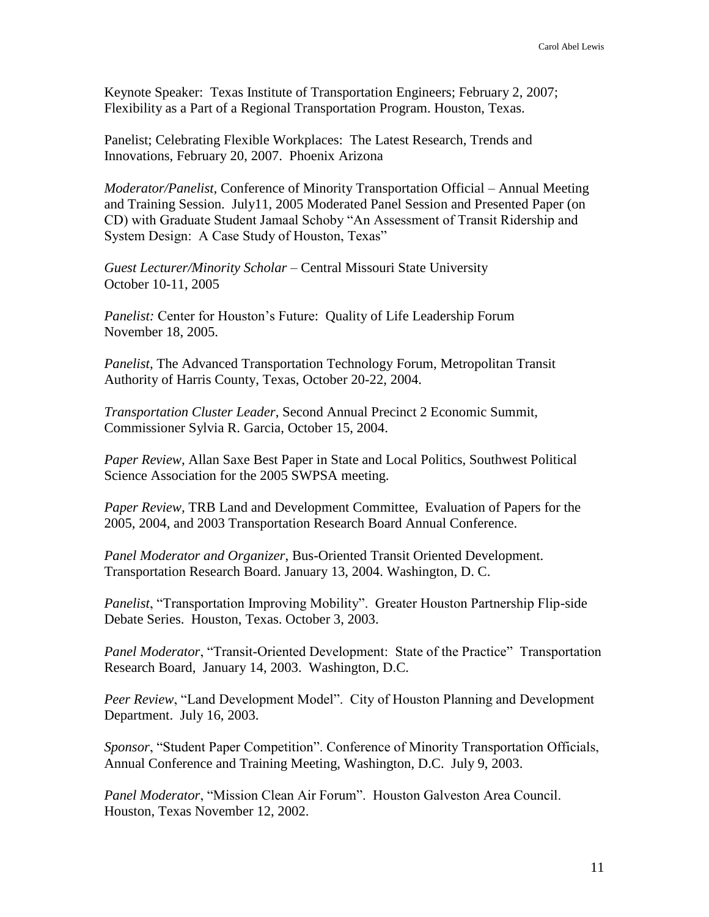Keynote Speaker: Texas Institute of Transportation Engineers; February 2, 2007; Flexibility as a Part of a Regional Transportation Program. Houston, Texas.

Panelist; Celebrating Flexible Workplaces: The Latest Research, Trends and Innovations, February 20, 2007. Phoenix Arizona

*Moderator/Panelist,* Conference of Minority Transportation Official – Annual Meeting and Training Session. July11, 2005 Moderated Panel Session and Presented Paper (on CD) with Graduate Student Jamaal Schoby "An Assessment of Transit Ridership and System Design: A Case Study of Houston, Texas"

*Guest Lecturer/Minority Scholar* – Central Missouri State University October 10-11, 2005

*Panelist:* Center for Houston's Future: Quality of Life Leadership Forum November 18, 2005.

*Panelist*, The Advanced Transportation Technology Forum, Metropolitan Transit Authority of Harris County, Texas, October 20-22, 2004.

*Transportation Cluster Leader*, Second Annual Precinct 2 Economic Summit, Commissioner Sylvia R. Garcia, October 15, 2004.

*Paper Review*, Allan Saxe Best Paper in State and Local Politics, Southwest Political Science Association for the 2005 SWPSA meeting.

*Paper Review,* TRB Land and Development Committee, Evaluation of Papers for the 2005, 2004, and 2003 Transportation Research Board Annual Conference.

*Panel Moderator and Organizer*, Bus-Oriented Transit Oriented Development. Transportation Research Board. January 13, 2004. Washington, D. C.

*Panelist*, "Transportation Improving Mobility". Greater Houston Partnership Flip-side Debate Series. Houston, Texas. October 3, 2003.

*Panel Moderator*, "Transit-Oriented Development: State of the Practice" Transportation Research Board, January 14, 2003. Washington, D.C.

*Peer Review*, "Land Development Model". City of Houston Planning and Development Department. July 16, 2003.

*Sponsor*, "Student Paper Competition". Conference of Minority Transportation Officials, Annual Conference and Training Meeting, Washington, D.C. July 9, 2003.

*Panel Moderator*, "Mission Clean Air Forum". Houston Galveston Area Council. Houston, Texas November 12, 2002.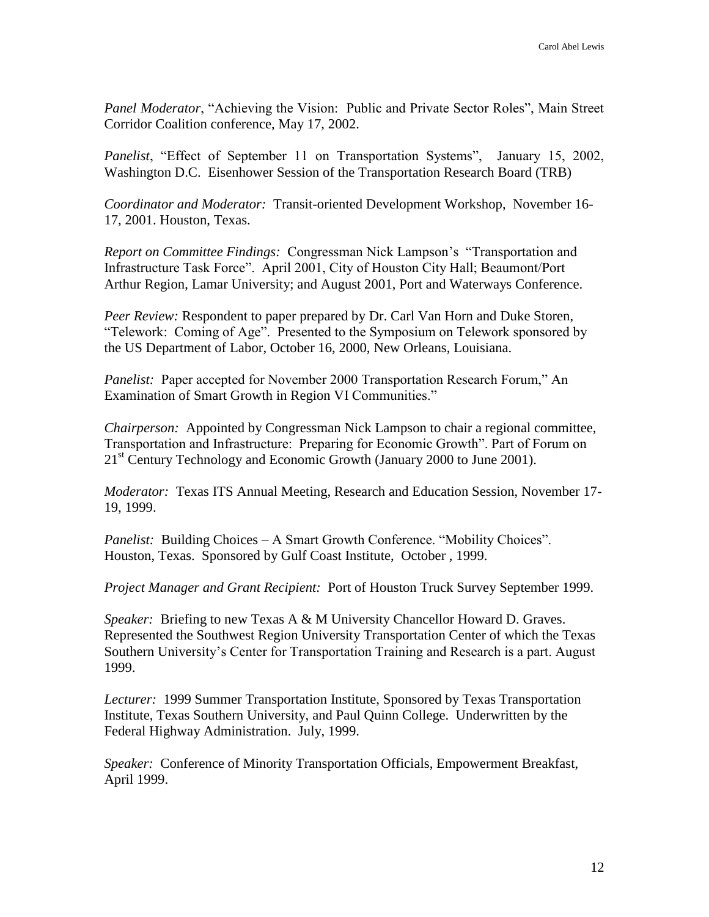*Panel Moderator*, "Achieving the Vision: Public and Private Sector Roles", Main Street Corridor Coalition conference, May 17, 2002.

*Panelist*, "Effect of September 11 on Transportation Systems", January 15, 2002, Washington D.C. Eisenhower Session of the Transportation Research Board (TRB)

*Coordinator and Moderator:* Transit-oriented Development Workshop, November 16- 17, 2001. Houston, Texas.

*Report on Committee Findings:* Congressman Nick Lampson's "Transportation and Infrastructure Task Force". April 2001, City of Houston City Hall; Beaumont/Port Arthur Region, Lamar University; and August 2001, Port and Waterways Conference.

*Peer Review:* Respondent to paper prepared by Dr. Carl Van Horn and Duke Storen, "Telework: Coming of Age". Presented to the Symposium on Telework sponsored by the US Department of Labor, October 16, 2000, New Orleans, Louisiana.

*Panelist:* Paper accepted for November 2000 Transportation Research Forum," An Examination of Smart Growth in Region VI Communities."

*Chairperson:* Appointed by Congressman Nick Lampson to chair a regional committee, Transportation and Infrastructure: Preparing for Economic Growth". Part of Forum on 21<sup>st</sup> Century Technology and Economic Growth (January 2000 to June 2001).

*Moderator:* Texas ITS Annual Meeting, Research and Education Session, November 17- 19, 1999.

*Panelist:* Building Choices – A Smart Growth Conference. "Mobility Choices". Houston, Texas. Sponsored by Gulf Coast Institute, October , 1999.

*Project Manager and Grant Recipient:* Port of Houston Truck Survey September 1999.

*Speaker:* Briefing to new Texas A & M University Chancellor Howard D. Graves. Represented the Southwest Region University Transportation Center of which the Texas Southern University's Center for Transportation Training and Research is a part. August 1999.

*Lecturer:* 1999 Summer Transportation Institute, Sponsored by Texas Transportation Institute, Texas Southern University, and Paul Quinn College. Underwritten by the Federal Highway Administration. July, 1999.

*Speaker:* Conference of Minority Transportation Officials, Empowerment Breakfast, April 1999.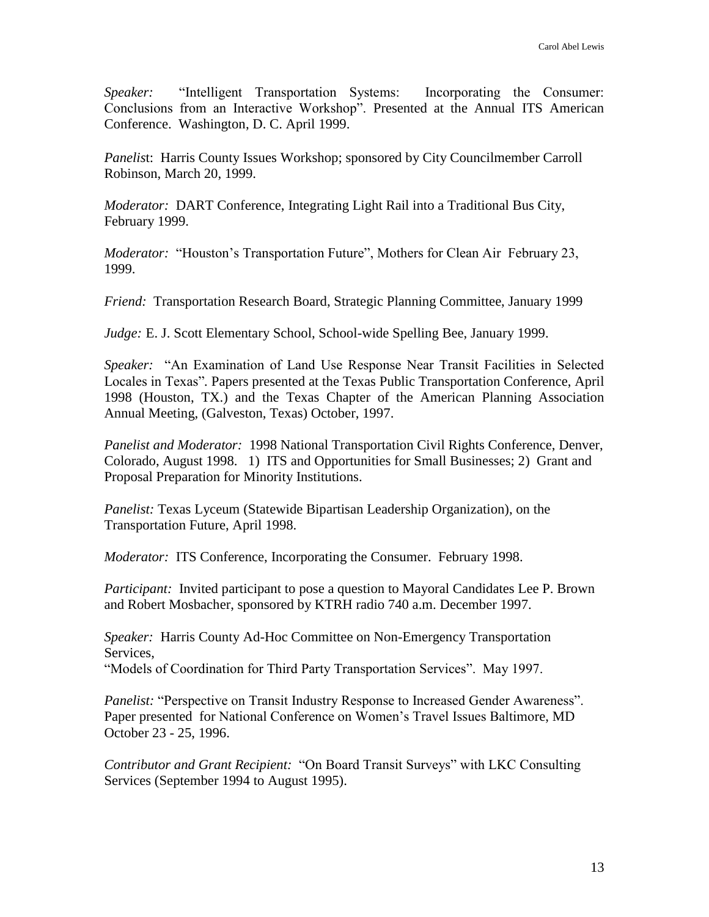*Speaker:* "Intelligent Transportation Systems: Incorporating the Consumer: Conclusions from an Interactive Workshop". Presented at the Annual ITS American Conference. Washington, D. C. April 1999.

*Panelis*t: Harris County Issues Workshop; sponsored by City Councilmember Carroll Robinson, March 20, 1999.

*Moderator:* DART Conference, Integrating Light Rail into a Traditional Bus City, February 1999.

*Moderator:* "Houston's Transportation Future", Mothers for Clean Air February 23, 1999.

*Friend:* Transportation Research Board, Strategic Planning Committee, January 1999

*Judge:* E. J. Scott Elementary School, School-wide Spelling Bee, January 1999.

*Speaker:* "An Examination of Land Use Response Near Transit Facilities in Selected Locales in Texas"*.* Papers presented at the Texas Public Transportation Conference, April 1998 (Houston, TX.) and the Texas Chapter of the American Planning Association Annual Meeting, (Galveston, Texas) October, 1997.

*Panelist and Moderator:* 1998 National Transportation Civil Rights Conference, Denver, Colorado, August 1998. 1) ITS and Opportunities for Small Businesses; 2) Grant and Proposal Preparation for Minority Institutions.

*Panelist:* Texas Lyceum (Statewide Bipartisan Leadership Organization), on the Transportation Future, April 1998.

*Moderator:* ITS Conference, Incorporating the Consumer. February 1998.

*Participant:* Invited participant to pose a question to Mayoral Candidates Lee P. Brown and Robert Mosbacher, sponsored by KTRH radio 740 a.m. December 1997.

*Speaker:* Harris County Ad-Hoc Committee on Non-Emergency Transportation Services,

"Models of Coordination for Third Party Transportation Services". May 1997.

*Panelist:* "Perspective on Transit Industry Response to Increased Gender Awareness". Paper presented for National Conference on Women's Travel Issues Baltimore, MD October 23 - 25, 1996.

*Contributor and Grant Recipient:* "On Board Transit Surveys" with LKC Consulting Services (September 1994 to August 1995).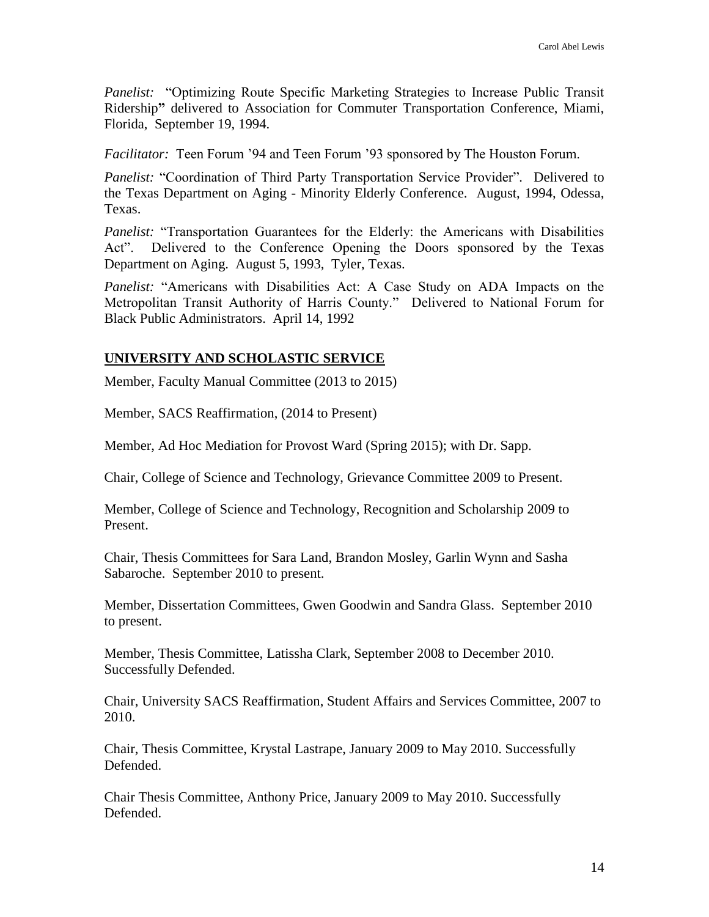*Panelist:* "Optimizing Route Specific Marketing Strategies to Increase Public Transit Ridership**"** delivered to Association for Commuter Transportation Conference, Miami, Florida, September 19, 1994.

*Facilitator:* Teen Forum '94 and Teen Forum '93 sponsored by The Houston Forum.

*Panelist:* "Coordination of Third Party Transportation Service Provider"*.* Delivered to the Texas Department on Aging - Minority Elderly Conference. August, 1994, Odessa, Texas.

*Panelist:* "Transportation Guarantees for the Elderly: the Americans with Disabilities Act". Delivered to the Conference Opening the Doors sponsored by the Texas Department on Aging. August 5, 1993, Tyler, Texas.

*Panelist:* "Americans with Disabilities Act: A Case Study on ADA Impacts on the Metropolitan Transit Authority of Harris County." Delivered to National Forum for Black Public Administrators. April 14, 1992

#### **UNIVERSITY AND SCHOLASTIC SERVICE**

Member, Faculty Manual Committee (2013 to 2015)

Member, SACS Reaffirmation, (2014 to Present)

Member, Ad Hoc Mediation for Provost Ward (Spring 2015); with Dr. Sapp.

Chair, College of Science and Technology, Grievance Committee 2009 to Present.

Member, College of Science and Technology, Recognition and Scholarship 2009 to Present.

Chair, Thesis Committees for Sara Land, Brandon Mosley, Garlin Wynn and Sasha Sabaroche. September 2010 to present.

Member, Dissertation Committees, Gwen Goodwin and Sandra Glass. September 2010 to present.

Member, Thesis Committee, Latissha Clark, September 2008 to December 2010. Successfully Defended.

Chair, University SACS Reaffirmation, Student Affairs and Services Committee, 2007 to 2010.

Chair, Thesis Committee, Krystal Lastrape, January 2009 to May 2010. Successfully Defended.

Chair Thesis Committee, Anthony Price, January 2009 to May 2010. Successfully Defended.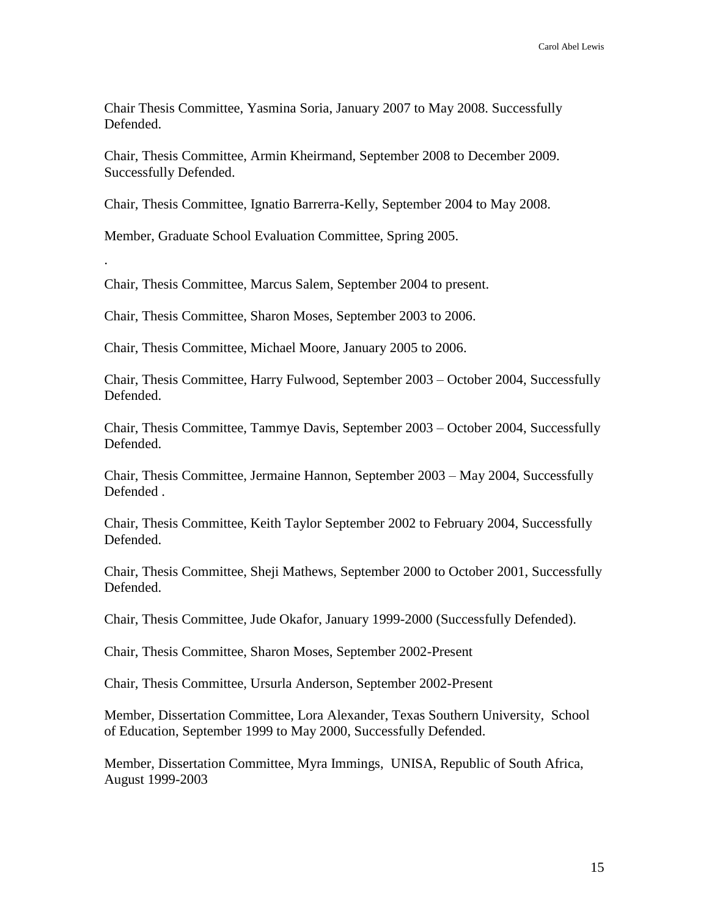Chair Thesis Committee, Yasmina Soria, January 2007 to May 2008. Successfully Defended.

Chair, Thesis Committee, Armin Kheirmand, September 2008 to December 2009. Successfully Defended.

Chair, Thesis Committee, Ignatio Barrerra-Kelly, September 2004 to May 2008.

Member, Graduate School Evaluation Committee, Spring 2005.

.

Chair, Thesis Committee, Marcus Salem, September 2004 to present.

Chair, Thesis Committee, Sharon Moses, September 2003 to 2006.

Chair, Thesis Committee, Michael Moore, January 2005 to 2006.

Chair, Thesis Committee, Harry Fulwood, September 2003 – October 2004, Successfully Defended.

Chair, Thesis Committee, Tammye Davis, September 2003 – October 2004, Successfully Defended.

Chair, Thesis Committee, Jermaine Hannon, September 2003 – May 2004, Successfully Defended .

Chair, Thesis Committee, Keith Taylor September 2002 to February 2004, Successfully Defended.

Chair, Thesis Committee, Sheji Mathews, September 2000 to October 2001, Successfully Defended.

Chair, Thesis Committee, Jude Okafor, January 1999-2000 (Successfully Defended).

Chair, Thesis Committee, Sharon Moses, September 2002-Present

Chair, Thesis Committee, Ursurla Anderson, September 2002-Present

Member, Dissertation Committee, Lora Alexander, Texas Southern University, School of Education, September 1999 to May 2000, Successfully Defended.

Member, Dissertation Committee, Myra Immings, UNISA, Republic of South Africa, August 1999-2003